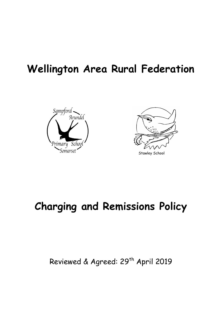## **Wellington Area Rural Federation**





# **Charging and Remissions Policy**

Reviewed & Agreed: 29<sup>th</sup> April 2019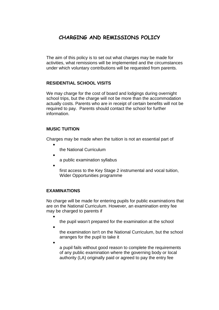### **CHARGING AND REMISSIONS POLICY**

The aim of this policy is to set out what charges may be made for activities, what remissions will be implemented and the circumstances under which voluntary contributions will be requested from parents.

#### **RESIDENTIAL SCHOOL VISITS**

We may charge for the cost of board and lodgings during overnight school trips, but the charge will not be more than the accommodation actually costs. Parents who are in receipt of certain benefits will not be required to pay. Parents should contact the school for further information.

#### **MUSIC TUITION**

Charges may be made when the tuition is not an essential part of

- the National Curriculum
- 

 $\bullet$ 

- $\bullet$  and the contract of the contract of the contract of the contract of the contract of the contract of the contract of the contract of the contract of the contract of the contract of the contract of the contract of the a public examination syllabus
- 

 $\bullet$  and  $\bullet$  and  $\bullet$  and  $\bullet$  and  $\bullet$  and  $\bullet$  and  $\bullet$  and  $\bullet$  and  $\bullet$  and  $\bullet$  and  $\bullet$ first access to the Key Stage 2 instrumental and vocal tuition, Wider Opportunities programme

#### **EXAMINATIONS**

No charge will be made for entering pupils for public examinations that are on the National Curriculum. However, an examination entry fee may be charged to parents if

- $\bullet$  and  $\bullet$  and  $\bullet$  and  $\bullet$  and  $\bullet$  and  $\bullet$  and  $\bullet$  and  $\bullet$  and  $\bullet$  and  $\bullet$  and  $\bullet$ 
	- the pupil wasn't prepared for the examination at the school
- 

 $\bullet$  and  $\bullet$  and  $\bullet$  and  $\bullet$  and  $\bullet$  and  $\bullet$  and  $\bullet$  and  $\bullet$  and  $\bullet$  and  $\bullet$  and  $\bullet$  and  $\bullet$  and  $\bullet$  and  $\bullet$  and  $\bullet$  and  $\bullet$  and  $\bullet$  and  $\bullet$  and  $\bullet$  and  $\bullet$  and  $\bullet$  and  $\bullet$  and  $\bullet$  and  $\bullet$  and  $\bullet$  the examination isn't on the National Curriculum, but the school arranges for the pupil to take it

 $\bullet$  and  $\bullet$  and  $\bullet$  and  $\bullet$  and  $\bullet$  and  $\bullet$ a pupil fails without good reason to complete the requirements of any public examination where the governing body or local authority (LA) originally paid or agreed to pay the entry fee